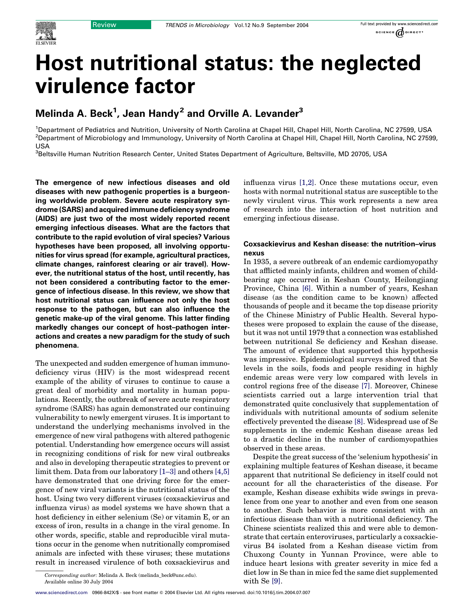

# Host nutritional status: the neglected virulence factor

# Melinda A. Beck $^1$ , Jean Handy $^2$  and Orville A. Levander $^3$

<sup>1</sup>Department of Pediatrics and Nutrition, University of North Carolina at Chapel Hill, Chapel Hill, North Carolina, NC 27599, USA <sup>2</sup>Department of Microbiology and Immunology, University of North Carolina at Chapel Hill, Chapel Hill, North Carolina, NC 27599, USA

<sup>3</sup>Beltsville Human Nutrition Research Center, United States Department of Agriculture, Beltsville, MD 20705, USA

The emergence of new infectious diseases and old diseases with new pathogenic properties is a burgeoning worldwide problem. Severe acute respiratory syndrome (SARS) and acquired immune deficiency syndrome (AIDS) are just two of the most widely reported recent emerging infectious diseases. What are the factors that contribute to the rapid evolution of viral species? Various hypotheses have been proposed, all involving opportunities for virus spread (for example, agricultural practices, climate changes, rainforest clearing or air travel). However, the nutritional status of the host, until recently, has not been considered a contributing factor to the emergence of infectious disease. In this review, we show that host nutritional status can influence not only the host response to the pathogen, but can also influence the genetic make-up of the viral genome. This latter finding markedly changes our concept of host–pathogen interactions and creates a new paradigm for the study of such phenomena.

The unexpected and sudden emergence of human immunodeficiency virus (HIV) is the most widespread recent example of the ability of viruses to continue to cause a great deal of morbidity and mortality in human populations. Recently, the outbreak of severe acute respiratory syndrome (SARS) has again demonstrated our continuing vulnerability to newly emergent viruses. It is important to understand the underlying mechanisms involved in the emergence of new viral pathogens with altered pathogenic potential. Understanding how emergence occurs will assist in recognizing conditions of risk for new viral outbreaks and also in developing therapeutic strategies to prevent or limit them. Data from our laboratory [\[1–3\]](#page-5-0) and others [\[4,5\]](#page-5-0) have demonstrated that one driving force for the emergence of new viral variants is the nutritional status of the host. Using two very different viruses (coxsackievirus and influenza virus) as model systems we have shown that a host deficiency in either selenium (Se) or vitamin E, or an excess of iron, results in a change in the viral genome. In other words, specific, stable and reproducible viral mutations occur in the genome when nutritionally compromised animals are infected with these viruses; these mutations result in increased virulence of both coxsackievirus and

influenza virus [\[1,2\]](#page-5-0). Once these mutations occur, even hosts with normal nutritional status are susceptible to the newly virulent virus. This work represents a new area of research into the interaction of host nutrition and emerging infectious disease.

#### Coxsackievirus and Keshan disease: the nutrition–virus nexus

In 1935, a severe outbreak of an endemic cardiomyopathy that afflicted mainly infants, children and women of childbearing age occurred in Keshan County, Heilongjiang Province, China [\[6\].](#page-5-0) Within a number of years, Keshan disease (as the condition came to be known) affected thousands of people and it became the top disease priority of the Chinese Ministry of Public Health. Several hypotheses were proposed to explain the cause of the disease, but it was not until 1979 that a connection was established between nutritional Se deficiency and Keshan disease. The amount of evidence that supported this hypothesis was impressive. Epidemiological surveys showed that Se levels in the soils, foods and people residing in highly endemic areas were very low compared with levels in control regions free of the disease [\[7\]](#page-5-0). Moreover, Chinese scientists carried out a large intervention trial that demonstrated quite conclusively that supplementation of individuals with nutritional amounts of sodium selenite effectively prevented the disease [\[8\]](#page-5-0). Widespread use of Se supplements in the endemic Keshan disease areas led to a drastic decline in the number of cardiomyopathies observed in these areas.

Despite the great success of the 'selenium hypothesis' in explaining multiple features of Keshan disease, it became apparent that nutritional Se deficiency in itself could not account for all the characteristics of the disease. For example, Keshan disease exhibits wide swings in prevalence from one year to another and even from one season to another. Such behavior is more consistent with an infectious disease than with a nutritional deficiency. The Chinese scientists realized this and were able to demonstrate that certain enteroviruses, particularly a coxsackievirus B4 isolated from a Keshan disease victim from Chuxong County in Yunnan Province, were able to induce heart lesions with greater severity in mice fed a diet low in Se than in mice fed the same diet supplemented

Corresponding author: Melinda A. Beck (melinda\_beck@unc.edu). (Corresponding author: Multimedia A. Beck (melinda\_beck@unc.edu). (With Se [\[9\]](#page-5-0). Available online 30 July 2004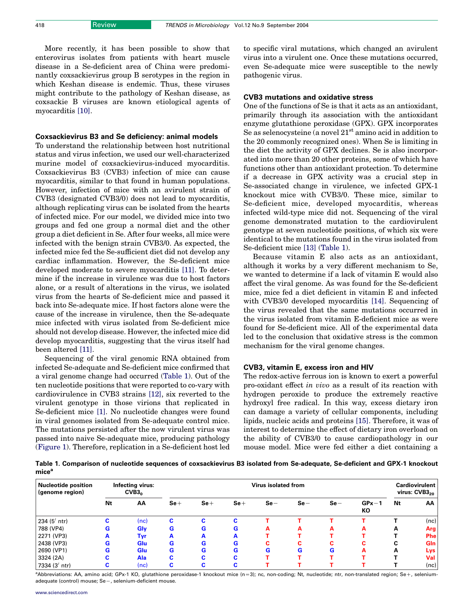More recently, it has been possible to show that enterovirus isolates from patients with heart muscle disease in a Se-deficient area of China were predominantly coxsackievirus group B serotypes in the region in which Keshan disease is endemic. Thus, these viruses might contribute to the pathology of Keshan disease, as coxsackie B viruses are known etiological agents of myocarditis [\[10\].](#page-5-0)

#### Coxsackievirus B3 and Se deficiency: animal models

To understand the relationship between host nutritional status and virus infection, we used our well-characterized murine model of coxsackievirus-induced myocarditis. Coxsackievirus B3 (CVB3) infection of mice can cause myocarditis, similar to that found in human populations. However, infection of mice with an avirulent strain of CVB3 (designated CVB3/0) does not lead to myocarditis, although replicating virus can be isolated from the hearts of infected mice. For our model, we divided mice into two groups and fed one group a normal diet and the other group a diet deficient in Se. After four weeks, all mice were infected with the benign strain CVB3/0. As expected, the infected mice fed the Se-sufficient diet did not develop any cardiac inflammation. However, the Se-deficient mice developed moderate to severe myocarditis [\[11\]](#page-5-0). To determine if the increase in virulence was due to host factors alone, or a result of alterations in the virus, we isolated virus from the hearts of Se-deficient mice and passed it back into Se-adequate mice. If host factors alone were the cause of the increase in virulence, then the Se-adequate mice infected with virus isolated from Se-deficient mice should not develop disease. However, the infected mice did develop myocarditis, suggesting that the virus itself had been altered [\[11\]](#page-5-0).

Sequencing of the viral genomic RNA obtained from infected Se-adequate and Se-deficient mice confirmed that a viral genome change had occurred (Table 1). Out of the ten nucleotide positions that were reported to co-vary with cardiovirulence in CVB3 strains [\[12\],](#page-5-0) six reverted to the virulent genotype in those virions that replicated in Se-deficient mice [\[1\]](#page-5-0). No nucleotide changes were found in viral genomes isolated from Se-adequate control mice. The mutations persisted after the now virulent virus was passed into naive Se-adequate mice, producing pathology ([Figure 1\)](#page-2-0). Therefore, replication in a Se-deficient host led to specific viral mutations, which changed an avirulent virus into a virulent one. Once these mutations occurred, even Se-adequate mice were susceptible to the newly pathogenic virus.

#### CVB3 mutations and oxidative stress

One of the functions of Se is that it acts as an antioxidant, primarily through its association with the antioxidant enzyme glutathione peroxidase (GPX). GPX incorporates Se as selenocysteine (a novel  $21<sup>st</sup>$  amino acid in addition to the 20 commonly recognized ones). When Se is limiting in the diet the activity of GPX declines. Se is also incorporated into more than 20 other proteins, some of which have functions other than antioxidant protection. To determine if a decrease in GPX activity was a crucial step in Se-associated change in virulence, we infected GPX-1 knockout mice with CVB3/0. These mice, similar to Se-deficient mice, developed myocarditis, whereas infected wild-type mice did not. Sequencing of the viral genome demonstrated mutation to the cardiovirulent genotype at seven nucleotide positions, of which six were identical to the mutations found in the virus isolated from Se-deficient mice [\[13\]](#page-5-0) (Table 1).

Because vitamin E also acts as an antioxidant, although it works by a very different mechanism to Se, we wanted to determine if a lack of vitamin E would also affect the viral genome. As was found for the Se-deficient mice, mice fed a diet deficient in vitamin E and infected with CVB3/0 developed myocarditis [\[14\]](#page-5-0). Sequencing of the virus revealed that the same mutations occurred in the virus isolated from vitamin E-deficient mice as were found for Se-deficient mice. All of the experimental data led to the conclusion that oxidative stress is the common mechanism for the viral genome changes.

#### CVB3, vitamin E, excess iron and HIV

The redox-active ferrous ion is known to exert a powerful pro-oxidant effect in vivo as a result of its reaction with hydrogen peroxide to produce the extremely reactive hydroxyl free radical. In this way, excess dietary iron can damage a variety of cellular components, including lipids, nucleic acids and proteins [\[15\]](#page-5-0). Therefore, it was of interest to determine the effect of dietary iron overload on the ability of CVB3/0 to cause cardiopathology in our mouse model. Mice were fed either a diet containing a

Table 1. Comparison of nucleotide sequences of coxsackievirus B3 isolated from Se-adequate, Se-deficient and GPX-1 knockout mice<sup>a</sup>

| <b>Nucleotide position</b><br>(genome region) | Infecting virus:<br>CVB3 <sub>0</sub> |            | Virus isolated from |       |       |       |       |       |               | <b>Cardiovirulent</b><br>virus: $CVB320$ |            |
|-----------------------------------------------|---------------------------------------|------------|---------------------|-------|-------|-------|-------|-------|---------------|------------------------------------------|------------|
|                                               | Nt                                    | AA         | $Se+$               | $Se+$ | $Se+$ | $Se-$ | $Se-$ | $Se-$ | $GPx-1$<br>КO | Nt                                       | ΑА         |
| 234 $(5'$ ntr)                                | C.                                    | (nc)       | С                   | c     | с     |       |       |       |               |                                          | (nc)       |
| 788 (VP4)                                     | G                                     | Gly        | G                   | G     | G     | А     | А     | А     | А             | А                                        | Arg        |
| 2271 (VP3)                                    | A                                     | Tyr        | A                   | A     | А     |       |       |       |               |                                          | <b>Phe</b> |
| 2438 (VP3)                                    | G                                     | <b>Glu</b> | G                   | G     | G     | с     | c     | c     | ⌒<br>τ.       | ◠<br>u                                   | <b>Gln</b> |
| 2690 (VP1)                                    | G                                     | <b>Glu</b> | G                   | G     | G     | G     | G     | G     | A             | А                                        | Lys        |
| 3324 (2A)                                     | с                                     | <b>Ala</b> | c                   | c     | с     |       |       |       |               |                                          | Val        |
| 7334 $(3'$ ntr)                               | С                                     | (nc)       | C                   | c     | ◠     |       |       |       |               |                                          | (nc)       |

a<br>Abbreviations: AA, amino acid; GPx-1 KO, glutathione peroxidase-1 knockout mice (n=3); nc, non-coding; Nt, nucleotide; ntr, non-translated region; Se+, seleniumadequate (control) mouse; Se-, selenium-deficient mouse.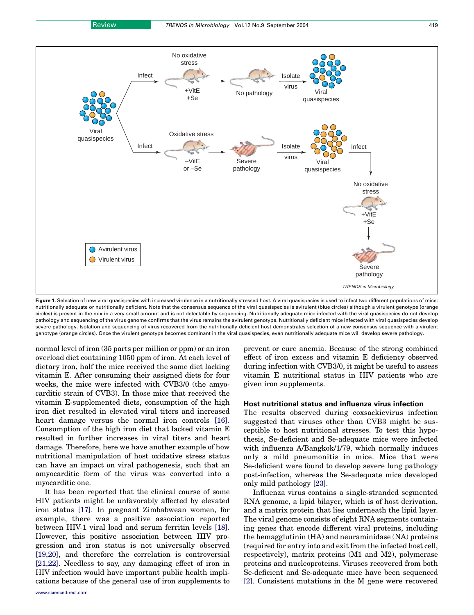<span id="page-2-0"></span>

Figure 1. Selection of new viral quasispecies with increased virulence in a nutritionally stressed host. A viral quasispecies is used to infect two different populations of mice: nutritionally adequate or nutritionally deficient. Note that the consensus sequence of the viral quasispecies is avirulent (blue circles) although a virulent genotype (orange circles) is present in the mix in a very small amount and is not detectable by sequencing. Nutritionally adequate mice infected with the viral quasispecies do not develop pathology and sequencing of the virus genome confirms that the virus remains the avirulent genotype. Nutritionally deficient mice infected with viral quasispecies develop severe pathology. Isolation and sequencing of virus recovered from the nutritionally deficient host demonstrates selection of a new consensus sequence with a virulent genotype (orange circles). Once the virulent genotype becomes dominant in the viral quasispecies, even nutritionally adequate mice will develop severe pathology.

normal level of iron (35 parts per million or ppm) or an iron overload diet containing 1050 ppm of iron. At each level of dietary iron, half the mice received the same diet lacking vitamin E. After consuming their assigned diets for four weeks, the mice were infected with CVB3/0 (the amyocarditic strain of CVB3). In those mice that received the vitamin E-supplemented diets, consumption of the high iron diet resulted in elevated viral titers and increased heart damage versus the normal iron controls [\[16\]](#page-5-0). Consumption of the high iron diet that lacked vitamin E resulted in further increases in viral titers and heart damage. Therefore, here we have another example of how nutritional manipulation of host oxidative stress status can have an impact on viral pathogenesis, such that an amyocarditic form of the virus was converted into a myocarditic one.

It has been reported that the clinical course of some HIV patients might be unfavorably affected by elevated iron status [\[17\]](#page-5-0). In pregnant Zimbabwean women, for example, there was a positive association reported between HIV-1 viral load and serum ferritin levels [\[18\]](#page-5-0). However, this positive association between HIV progression and iron status is not universally observed [\[19,20\],](#page-5-0) and therefore the correlation is controversial [\[21,22\].](#page-5-0) Needless to say, any damaging effect of iron in HIV infection would have important public health implications because of the general use of iron supplements to prevent or cure anemia. Because of the strong combined effect of iron excess and vitamin E deficiency observed during infection with CVB3/0, it might be useful to assess vitamin E nutritional status in HIV patients who are given iron supplements.

#### Host nutritional status and influenza virus infection

The results observed during coxsackievirus infection suggested that viruses other than CVB3 might be susceptible to host nutritional stresses. To test this hypothesis, Se-deficient and Se-adequate mice were infected with influenza A/Bangkok/1/79, which normally induces only a mild pneumonitis in mice. Mice that were Se-deficient were found to develop severe lung pathology post-infection, whereas the Se-adequate mice developed only mild pathology [\[23\]](#page-5-0).

Influenza virus contains a single-stranded segmented RNA genome, a lipid bilayer, which is of host derivation, and a matrix protein that lies underneath the lipid layer. The viral genome consists of eight RNA segments containing genes that encode different viral proteins, including the hemagglutinin (HA) and neuraminidase (NA) proteins (required for entry into and exit from the infected host cell, respectively), matrix proteins (M1 and M2), polymerase proteins and nucleoproteins. Viruses recovered from both Se-deficient and Se-adequate mice have been sequenced [\[2\]](#page-5-0). Consistent mutations in the M gene were recovered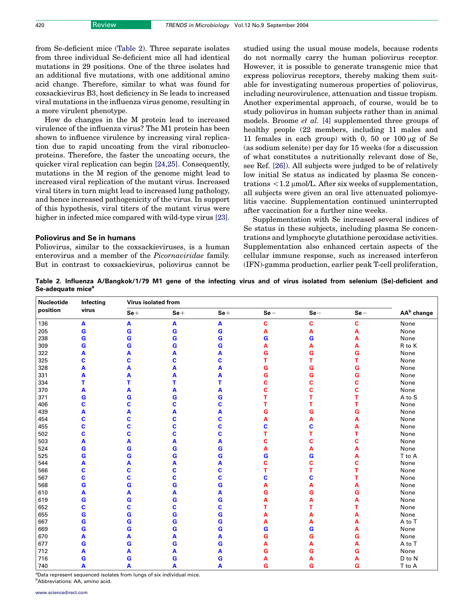from Se-deficient mice (Table 2). Three separate isolates from three individual Se-deficient mice all had identical mutations in 29 positions. One of the three isolates had an additional five mutations, with one additional amino acid change. Therefore, similar to what was found for coxsackievirus B3, host deficiency in Se leads to increased viral mutations in the influenza virus genome, resulting in a more virulent phenotype.

How do changes in the M protein lead to increased virulence of the influenza virus? The M1 protein has been shown to influence virulence by increasing viral replication due to rapid uncoating from the viral ribonucleoproteins. Therefore, the faster the uncoating occurs, the quicker viral replication can begin [\[24,25\].](#page-5-0) Consequently, mutations in the M region of the genome might lead to increased viral replication of the mutant virus. Increased viral titers in turn might lead to increased lung pathology, and hence increased pathogenicity of the virus. In support of this hypothesis, viral titers of the mutant virus were higher in infected mice compared with wild-type virus [\[23\]](#page-5-0).

#### Poliovirus and Se in humans

Poliovirus, similar to the coxsackieviruses, is a human enterovirus and a member of the Picornaviridae family. But in contrast to coxsackievirus, poliovirus cannot be studied using the usual mouse models, because rodents do not normally carry the human poliovirus receptor. However, it is possible to generate transgenic mice that express poliovirus receptors, thereby making them suitable for investigating numerous properties of poliovirus, including neurovirulence, attenuation and tissue tropism. Another experimental approach, of course, would be to study poliovirus in human subjects rather than in animal models. Broome et al. [\[4\]](#page-5-0) supplemented three groups of healthy people (22 members, including 11 males and 11 females in each group) with 0, 50 or 100  $\mu$ g of Se (as sodium selenite) per day for 15 weeks (for a discussion of what constitutes a nutritionally relevant dose of Se, see Ref. [\[26\]\)](#page-5-0). All subjects were judged to be of relatively low initial Se status as indicated by plasma Se concentrations  $\langle 1.2 \mu m \nu \rangle$ . After six weeks of supplementation, all subjects were given an oral live attenuated poliomyelitis vaccine. Supplementation continued uninterrupted after vaccination for a further nine weeks.

Supplementation with Se increased several indices of Se status in these subjects, including plasma Se concentrations and lymphocyte glutathione peroxidase activities. Supplementation also enhanced certain aspects of the cellular immune response, such as increased interferon (IFN)-gamma production, earlier peak T-cell proliferation,

Table 2. Influenza A/Bangkok/1/79 M1 gene of the infecting virus and of virus isolated from selenium (Se)-deficient and Se-adequate mice<sup>a</sup>

| <b>Nucleotide</b><br>position | Infecting<br>virus | <b>Virus isolated from</b> |             |       |       |       |       |                        |
|-------------------------------|--------------------|----------------------------|-------------|-------|-------|-------|-------|------------------------|
|                               |                    | $Se+$                      | $Se+$       | $Se+$ | $Se-$ | $Se-$ | $Se-$ | AA <sup>b</sup> change |
| 136                           | $\mathbf{A}$       | A                          | A           | A     | c     | C     | C     | None                   |
| 205                           | G                  | G                          | G           | G     | А     | Α     | A     | None                   |
| 238                           | G                  | G                          | $\mathbf G$ | G     | G     | G     | A     | None                   |
| 309                           | G                  | G                          | G           | G     | A     | А     | A     | R to K                 |
| 322                           | A                  | А                          | A           | A     | G     | G     | G     | None                   |
| 325                           | C                  | c                          | C           | C     | т     | T     | T     | None                   |
| 328                           | A                  | А                          | A           | A     | G     | G     | G     | None                   |
| 331                           | А                  | A                          | A           | A     | G     | G     | G     | None                   |
| 334                           | т                  | т                          | т           | т     | C     | Ć     | Ċ     | None                   |
| 370                           | A                  | А                          | A           | A     | C     | C     | C     | None                   |
| 371                           | G                  | G                          | G           | G     | т     | т     | т     | A to S                 |
| 406                           | C                  | C                          | C           | C     | т     | т     | т     | None                   |
| 439                           | Α                  | А                          | Α           | A     | G     | G     | G     | None                   |
| 454                           | C                  | C                          | C           | C     | A     | A     | A     | None                   |
| 455                           | c                  | c                          | C           | C     | c     | C     | А     | None                   |
| 502                           | C                  | C                          | C           | C     | т     | т     | т     | None                   |
| 503                           | A                  | A                          | Α           | A     | С     | C     | C     | None                   |
| 524                           | G                  | G                          | G           | G     | А     | Α     | A     | None                   |
| 525                           | G                  | G                          | G           | G     | G     | G     | Α     | T to A                 |
| 544                           | A                  | A                          | A           | A     | C     | C     | C     | None                   |
| 566                           | C                  | C                          | C           | C     | т     | т     | т     | None                   |
| 567                           | C                  | C                          | C           | C     | C     | C     | т     | None                   |
| 568                           | G                  | G                          | G           | G     | Α     | Α     | Α     | None                   |
| 610                           | A                  | A                          | A           | A     | G     | G     | G     | None                   |
| 619                           | G                  | G                          | $\mathbf G$ | G     | Α     | Α     | A     | None                   |
| 652                           | C                  | C                          | C           | C     |       | т     | т     | None                   |
| 655                           | G                  | G                          | $\mathbf G$ | G     | Α     | Α     | Α     | None                   |
| 667                           | G                  | G                          | $\mathbf G$ | G     | Α     | Α     | Α     | A to T                 |
| 669                           | G                  | G                          | $\mathbf G$ | G     | G     | G     | Α     | None                   |
| 670                           | A                  | A                          | A           | A     | G     | G     | G     | None                   |
| 677                           | G                  | G                          | G           | G     | А     | Α     | A     | A to T                 |
| 712                           | А                  | А                          | A           | Α     | G     | G     | G     | None                   |
| 716                           | G                  | G                          | $\mathbf G$ | G     |       | А     | Α     | D to N                 |
| 740                           | A                  | A                          | A           | A     | G     | G     | G     | T to A                 |

<sup>a</sup>Data represent sequenced isolates from lungs of six individual mice. b Abbreviations: AA, amino acid.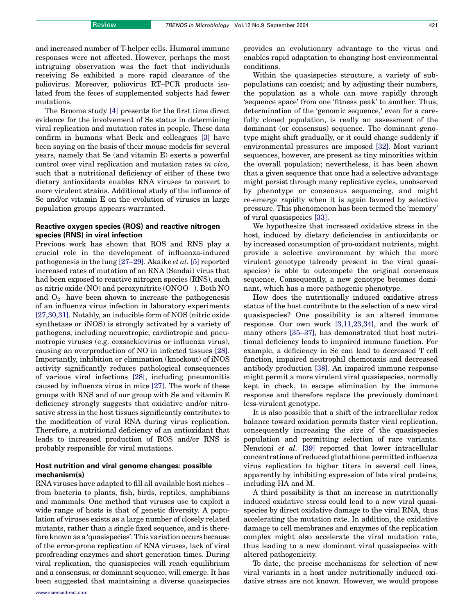and increased number of T-helper cells. Humoral immune responses were not affected. However, perhaps the most intriguing observation was the fact that individuals receiving Se exhibited a more rapid clearance of the poliovirus. Moreover, poliovirus RT–PCR products isolated from the feces of supplemented subjects had fewer mutations.

The Broome study [\[4\]](#page-5-0) presents for the first time direct evidence for the involvement of Se status in determining viral replication and mutation rates in people. These data confirm in humans what Beck and colleagues [\[3\]](#page-5-0) have been saying on the basis of their mouse models for several years, namely that Se (and vitamin E) exerts a powerful control over viral replication and mutation rates in vivo, such that a nutritional deficiency of either of these two dietary antioxidants enables RNA viruses to convert to more virulent strains. Additional study of the influence of Se and/or vitamin E on the evolution of viruses in large population groups appears warranted.

### Reactive oxygen species (ROS) and reactive nitrogen species (RNS) in viral infection

Previous work has shown that ROS and RNS play a crucial role in the development of influenza-induced pathogenesis in the lung  $[27-29]$ . Akaike *et al.* [\[5\]](#page-5-0) reported increased rates of mutation of an RNA (Sendai) virus that had been exposed to reactive nitrogen species (RNS), such as nitric oxide  $(NO)$  and peroxynitrite  $(ONOO^{-})$ . Both NO and  $O_2^-$  have been shown to increase the pathogenesis of an influenza virus infection in laboratory experiments [\[27,30,31\].](#page-5-0) Notably, an inducible form of NOS (nitric oxide synthetase or iNOS) is strongly activated by a variety of pathogens, including neurotropic, cardiotropic and pneumotropic viruses (e.g. coxsackievirus or influenza virus), causing an overproduction of NO in infected tissues [\[28\]](#page-5-0). Importantly, inhibition or elimination (knockout) of iNOS activity significantly reduces pathological consequences of various viral infections [\[28\],](#page-5-0) including pneumonitis caused by influenza virus in mice [\[27\].](#page-5-0) The work of these groups with RNS and of our group with Se and vitamin E deficiency strongly suggests that oxidative and/or nitrosative stress in the host tissues significantly contributes to the modification of viral RNA during virus replication. Therefore, a nutritional deficiency of an antioxidant that leads to increased production of ROS and/or RNS is probably responsible for viral mutations.

### Host nutrition and viral genome changes: possible mechanism(s)

RNA viruses have adapted to fill all available host niches – from bacteria to plants, fish, birds, reptiles, amphibians and mammals. One method that viruses use to exploit a wide range of hosts is that of genetic diversity. A population of viruses exists as a large number of closely related mutants, rather than a single fixed sequence, and is therefore known as a 'quasispecies'. This variation occurs because of the error-prone replication of RNA viruses, lack of viral proofreading enzymes and short generation times. During viral replication, the quasispecies will reach equilibrium and a consensus, or dominant sequence, will emerge. It has been suggested that maintaining a diverse quasispecies provides an evolutionary advantage to the virus and enables rapid adaptation to changing host environmental conditions.

Within the quasispecies structure, a variety of subpopulations can coexist; and by adjusting their numbers, the population as a whole can move rapidly through 'sequence space' from one 'fitness peak' to another. Thus, determination of the 'genomic sequence,' even for a carefully cloned population, is really an assessment of the dominant (or consensus) sequence. The dominant genotype might shift gradually, or it could change suddenly if environmental pressures are imposed [\[32\]](#page-6-0). Most variant sequences, however, are present as tiny minorities within the overall population; nevertheless, it has been shown that a given sequence that once had a selective advantage might persist through many replicative cycles, unobserved by phenotype or consensus sequencing, and might re-emerge rapidly when it is again favored by selective pressure. This phenomenon has been termed the 'memory' of viral quasispecies [\[33\].](#page-6-0)

We hypothesize that increased oxidative stress in the host, induced by dietary deficiencies in antioxidants or by increased consumption of pro-oxidant nutrients, might provide a selective environment by which the more virulent genotype (already present in the viral quasispecies) is able to outcompete the original consensus sequence. Consequently, a new genotype becomes dominant, which has a more pathogenic phenotype.

How does the nutritionally induced oxidative stress status of the host contribute to the selection of a new viral quasispecies? One possibility is an altered immune response. Our own work [\[3,11,23,34\]](#page-5-0), and the work of many others [\[35–37\],](#page-6-0) has demonstrated that host nutritional deficiency leads to impaired immune function. For example, a deficiency in Se can lead to decreased T cell function, impaired neutrophil chemotaxis and decreased antibody production [\[38\]](#page-6-0). An impaired immune response might permit a more virulent viral quasispecies, normally kept in check, to escape elimination by the immune response and therefore replace the previously dominant less-virulent genotype.

It is also possible that a shift of the intracellular redox balance toward oxidation permits faster viral replication, consequently increasing the size of the quasispecies population and permitting selection of rare variants. Nencioni et al. [\[39\]](#page-6-0) reported that lower intracellular concentrations of reduced glutathione permitted influenza virus replication to higher titers in several cell lines, apparently by inhibiting expression of late viral proteins, including HA and M.

A third possibility is that an increase in nutritionally induced oxidative stress could lead to a new viral quasispecies by direct oxidative damage to the viral RNA, thus accelerating the mutation rate. In addition, the oxidative damage to cell membranes and enzymes of the replication complex might also accelerate the viral mutation rate, thus leading to a new dominant viral quasispecies with altered pathogenicity.

To date, the precise mechanisms for selection of new viral variants in a host under nutritionally induced oxidative stress are not known. However, we would propose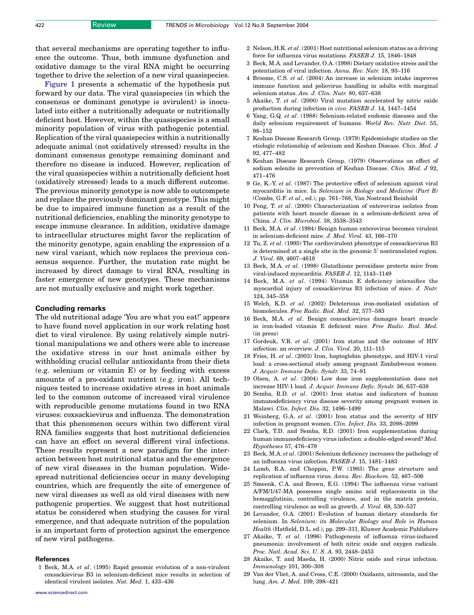<span id="page-5-0"></span>that several mechanisms are operating together to influence the outcome. Thus, both immune dysfunction and oxidative damage to the viral RNA might be occurring together to drive the selection of a new viral quasispecies.

[Figure 1](#page-2-0) presents a schematic of the hypothesis put forward by our data. The viral quasispecies (in which the consensus or dominant genotype is avirulent) is inoculated into either a nutritionally adequate or nutritionally deficient host. However, within the quasispecies is a small minority population of virus with pathogenic potential. Replication of the viral quasispecies within a nutritionally adequate animal (not oxidatively stressed) results in the dominant consensus genotype remaining dominant and therefore no disease is induced. However, replication of the viral quasispecies within a nutritionally deficient host (oxidatively stressed) leads to a much different outcome. The previous minority genotype is now able to outcompete and replace the previously dominant genotype. This might be due to impaired immune function as a result of the nutritional deficiencies, enabling the minority genotype to escape immune clearance. In addition, oxidative damage to intracellular structures might favor the replication of the minority genotype, again enabling the expression of a new viral variant, which now replaces the previous consensus sequence. Further, the mutation rate might be increased by direct damage to viral RNA, resulting in faster emergence of new genotypes. These mechanisms are not mutually exclusive and might work together.

#### Concluding remarks

The old nutritional adage 'You are what you eat!' appears to have found novel application in our work relating host diet to viral virulence. By using relatively simple nutritional manipulations we and others were able to increase the oxidative stress in our host animals either by withholding crucial cellular antioxidants from their diets (e.g. selenium or vitamin E) or by feeding with excess amounts of a pro-oxidant nutrient (e.g. iron). All techniques tested to increase oxidative stress in host animals led to the common outcome of increased viral virulence with reproducible genome mutations found in two RNA viruses: coxsackievirus and influenza. The demonstration that this phenomenon occurs within two different viral RNA families suggests that host nutritional deficiencies can have an effect on several different viral infections. These results represent a new paradigm for the interaction between host nutritional status and the emergence of new viral diseases in the human population. Widespread nutritional deficiencies occur in many developing countries, which are frequently the site of emergence of new viral diseases as well as old viral diseases with new pathogenic properties. We suggest that host nutritional status be considered when studying the causes for viral emergence, and that adequate nutrition of the population is an important form of protection against the emergence of new viral pathogens.

#### **References**

1 Beck, M.A. et al. (1995) Rapid genomic evolution of a non-virulent coxsackievirus B3 in selenium-deficient mice results in selection of identical virulent isolates. Nat. Med. 1, 433–436

- 2 Nelson, H.K. et al. (2001) Host nutritional selenium status as a driving force for influenza virus mutations. FASEB J. 15, 1846–1848
- 3 Beck, M.A. and Levander, O.A. (1998) Dietary oxidative stress and the potentiation of viral infection. Annu. Rev. Nutr. 18, 93–116
- 4 Broome, C.S. et al. (2004) An increase in selenium intake improves immune function and poliovirus handling in adults with marginal selenium status. Am. J. Clin. Nutr. 80, 637–638
- 5 Akaike, T. et al. (2000) Viral mutation accelerated by nitric oxide production during infection in vivo. FASEB J. 14, 1447–1454
- 6 Yang, G.Q. et al. (1988) Selenium-related endemic diseases and the daily selenium requirement of humans. World Rev. Nutr. Diet. 55, 98–152
- 7 Keshan Disease Research Group. (1979) Epidemiologic studies on the etiologic relationship of selenium and Keshan Disease. Chin. Med. J 92, 477–482
- 8 Keshan Disease Research Group. (1979) Observations on effect of sodium selenite in prevention of Keshan Disease. Chin. Med. J 92, 471–476
- 9 Ge, K.-Y. et al. (1987) The protective effect of selenium against viral myocarditis in mice. In Selenium in Biology and Medicine (Part B) (Combs, G.F. et al., ed.), pp. 761–768, Van Nostrand Reinhold
- 10 Peng, T. et al. (2000) Characterization of enterovirus isolates from patients with heart muscle disease in a selenium-deficient area of China. J. Clin. Microbiol. 38, 3538–3543
- 11 Beck, M.A. et al. (1994) Benign human enterovirus becomes virulent in selenium-deficient mice. J. Med. Virol. 43, 166–170
- 12 Tu, Z. et al. (1995) The cardiovirulent phenotype of coxsackievirus B3 is determined at a single site in the genomic  $5'$  nontranslated region. J. Virol. 69, 4607–4618
- 13 Beck, M.A. et al. (1998) Glutathione peroxidase protects mice from viral-induced myocarditis. FASEB J. 12, 1143–1149
- 14 Beck, M.A. et al. (1994) Vitamin E deficiency intensifies the myocardial injury of coxsackievirus B3 infection of mice. J. Nutr. 124, 345–358
- 15 Welch, K.D. et al. (2002) Deleterious iron-mediated oxidation of biomolecules. Free Radic. Biol. Med. 32, 577–583
- 16 Beck, M.A. et al. Benign coxsackievirus damages heart muscle in iron-loaded vitamin E deficient mice. Free Radic. Biol. Med. (in press)
- 17 Gordeuk, V.R. et al. (2001) Iron status and the outcome of HIV infection: an overview. J. Clin. Virol. 20, 111–115
- 18 Friss, H. et al. (2003) Iron, haptoglobin phenotype, and HIV-1 viral load: a cross-sectional study among pregnant Zimbabwean women. J. Acquir. Immune Defic. Syndr. 33, 74–81
- 19 Olsen, A. et al. (2004) Low dose iron supplementation does not increase HIV-1 load. J. Acquir. Immune Defic. Syndr. 36, 637–638
- 20 Semba, R.D. et al. (2001) Iron status and indicators of human immunodeficiency virus disease severity among pregnant women in Malawi. Clin. Infect. Dis. 32, 1496–1499
- 21 Weinberg, G.A. et al. (2001) Iron status and the severity of HIV infection in pregnant women. Clin. Infect. Dis. 33, 2098–2099
- 22 Clark, T.D. and Semba, R.D. (2001) Iron supplementation during human immunodeficiency virus infection: a double-edged sword? Med. Hypotheses 57, 476–479
- 23 Beck, M.A. et al. (2001) Selenium deficiency increases the pathology of an influenza virus infection. FASEB J. 15, 1481–1483
- 24 Lamb, R.A. and Choppin, P.W. (1983) The gene structure and replication of influenza virus. Annu. Rev. Biochem. 52, 467–506
- 25 Smeenk, C.A. and Brown, E.G. (1994) The influenza virus variant A/FM/1/47-MA possesses single amino acid replacements in the hemagglutinin, controlling virulence, and in the matrix protein, controlling virulence as well as growth. J. Virol. 68, 530–537
- 26 Levander, O.A. (2001) Evolution of human dietary standards for selenium. In Selenium: its Molecular Biology and Role in Human Health (Hatfield, D.L. ed.), pp. 299–311, Kluwer Academic Publishers
- 27 Akaike, T. et al. (1996) Pathogenesis of influenza virus-induced pneumonia: involvement of both nitric oxide and oxygen radicals. Proc. Natl. Acad. Sci. U. S. A. 93, 2448–2453
- 28 Akaike, T. and Maeda, H. (2000) Nitric oxide and virus infection. Immunology 101, 300–308
- 29 Van der Vliet, A. and Cross, C.E. (2000) Oxidants, nitrosants, and the lung. Am. J. Med. 109, 398–421